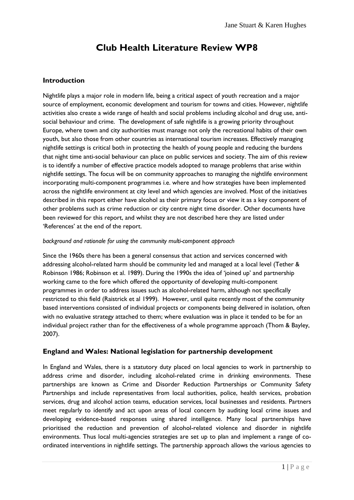# **Club Health Literature Review WP8**

### **Introduction**

Nightlife plays a major role in modern life, being a critical aspect of youth recreation and a major source of employment, economic development and tourism for towns and cities. However, nightlife activities also create a wide range of health and social problems including alcohol and drug use, antisocial behaviour and crime. The development of safe nightlife is a growing priority throughout Europe, where town and city authorities must manage not only the recreational habits of their own youth, but also those from other countries as international tourism increases. Effectively managing nightlife settings is critical both in protecting the health of young people and reducing the burdens that night time anti-social behaviour can place on public services and society. The aim of this review is to identify a number of effective practice models adopted to manage problems that arise within nightlife settings. The focus will be on community approaches to managing the nightlife environment incorporating multi-component programmes i.e. where and how strategies have been implemented across the nightlife environment at city level and which agencies are involved. Most of the initiatives described in this report either have alcohol as their primary focus or view it as a key component of other problems such as crime reduction or city centre night time disorder. Other documents have been reviewed for this report, and whilst they are not described here they are listed under 'References' at the end of the report.

### *background and rationale for using the community multi-component approach*

Since the 1960s there has been a general consensus that action and services concerned with addressing alcohol-related harm should be community led and managed at a local level (Tether & Robinson 1986; Robinson et al. 1989). During the 1990s the idea of "joined up" and partnership working came to the fore which offered the opportunity of developing multi-component programmes in order to address issues such as alcohol-related harm, although not specifically restricted to this field (Raistrick et al 1999). However, until quite recently most of the community based interventions consisted of individual projects or components being delivered in isolation, often with no evaluative strategy attached to them; where evaluation was in place it tended to be for an individual project rather than for the effectiveness of a whole programme approach (Thom & Bayley, 2007).

### **England and Wales: National legislation for partnership development**

In England and Wales, there is a statutory duty placed on local agencies to work in partnership to address crime and disorder, including alcohol-related crime in drinking environments. These partnerships are known as Crime and Disorder Reduction Partnerships or Community Safety Partnerships and include representatives from local authorities, police, health services, probation services, drug and alcohol action teams, education services, local businesses and residents. Partners meet regularly to identify and act upon areas of local concern by auditing local crime issues and developing evidence-based responses using shared intelligence. Many local partnerships have prioritised the reduction and prevention of alcohol-related violence and disorder in nightlife environments. Thus local multi-agencies strategies are set up to plan and implement a range of coordinated interventions in nightlife settings. The partnership approach allows the various agencies to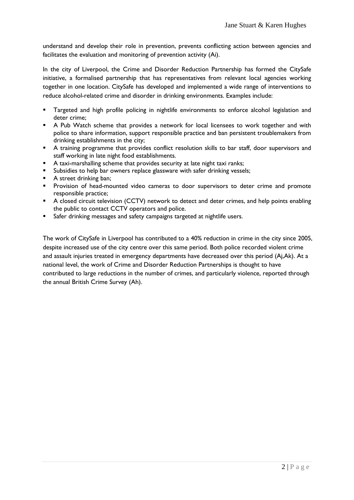understand and develop their role in prevention, prevents conflicting action between agencies and facilitates the evaluation and monitoring of prevention activity (Ai).

In the city of Liverpool, the Crime and Disorder Reduction Partnership has formed the CitySafe initiative, a formalised partnership that has representatives from relevant local agencies working together in one location. CitySafe has developed and implemented a wide range of interventions to reduce alcohol-related crime and disorder in drinking environments. Examples include:

- Targeted and high profile policing in nightlife environments to enforce alcohol legislation and deter crime;
- A Pub Watch scheme that provides a network for local licensees to work together and with police to share information, support responsible practice and ban persistent troublemakers from drinking establishments in the city;
- A training programme that provides conflict resolution skills to bar staff, door supervisors and staff working in late night food establishments.
- A taxi-marshalling scheme that provides security at late night taxi ranks;
- Subsidies to help bar owners replace glassware with safer drinking vessels;
- A street drinking ban;
- **Provision of head-mounted video cameras to door supervisors to deter crime and promote** responsible practice;
- **A** closed circuit television (CCTV) network to detect and deter crimes, and help points enabling the public to contact CCTV operators and police.
- Safer drinking messages and safety campaigns targeted at nightlife users.

The work of CitySafe in Liverpool has contributed to a 40% reduction in crime in the city since 2005, despite increased use of the city centre over this same period. Both police recorded violent crime and assault injuries treated in emergency departments have decreased over this period (Aj,Ak). At a national level, the work of Crime and Disorder Reduction Partnerships is thought to have contributed to large reductions in the number of crimes, and particularly violence, reported through the annual British Crime Survey (Ah).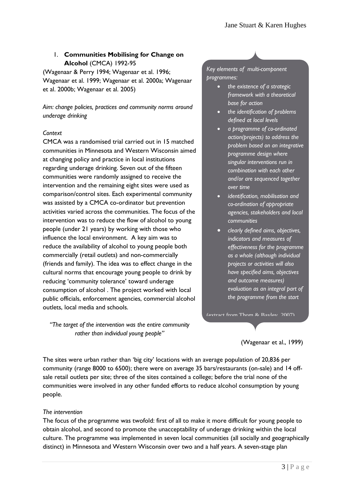### 1. **Communities Mobilising for Change on Alcohol** (CMCA) 1992-95

(Wagenaar & Perry 1994; Wagenaar et al. 1996; Wagenaar et al. 1999; Wagenaar et al. 2000a; Wagenaar et al. 2000b; Wagenaar et al. 2005)

*Aim: change policies, practices and community norms around underage drinking*

### *Context*

CMCA was a randomised trial carried out in 15 matched communities in Minnesota and Western Wisconsin aimed at changing policy and practice in local institutions regarding underage drinking. Seven out of the fifteen communities were randomly assigned to receive the intervention and the remaining eight sites were used as comparison/control sites. Each experimental community was assisted by a CMCA co-ordinator but prevention activities varied across the communities. The focus of the intervention was to reduce the flow of alcohol to young people (under 21 years) by working with those who influence the local environment. A key aim was to reduce the availability of alcohol to young people both commercially (retail outlets) and non-commercially (friends and family). The idea was to effect change in the cultural norms that encourage young people to drink by reducing 'community tolerance' toward underage consumption of alcohol . The project worked with local public officials, enforcement agencies, commercial alcohol outlets, local media and schools.

*"The target of the intervention was the entire community rather than individual young people"*

*Key elements of multi-component programmes:*

- *the existence of a strategic framework with a theoretical base for action*
- *the identification of problems defined at local levels*
- *a programme of co-ordinated action(projects) to address the problem based on an integrative programme design where singular interventions run in combination with each other and/or are sequenced together over time*
- *identification, mobilisation and co-ordination of appropriate agencies, stakeholders and local communities*
- *clearly defined aims, objectives, indicators and measures of effectiveness for the programme as a whole (although individual projects or activities will also have specified aims, objectives and outcome measures) evaluation as an integral part of the programme from the start*

(extract from Thom  $\&$  Rayley, 2007).

(Wagenaar et al., 1999)

The sites were urban rather than 'big city' locations with an average population of 20,836 per community (range 8000 to 6500); there were on average 35 bars/restaurants (on-sale) and 14 offsale retail outlets per site; three of the sites contained a college; before the trial none of the communities were involved in any other funded efforts to reduce alcohol consumption by young people.

### *The intervention*

The focus of the programme was twofold: first of all to make it more difficult for young people to obtain alcohol, and second to promote the unacceptability of underage drinking within the local culture. The programme was implemented in seven local communities (all socially and geographically distinct) in Minnesota and Western Wisconsin over two and a half years. A seven-stage plan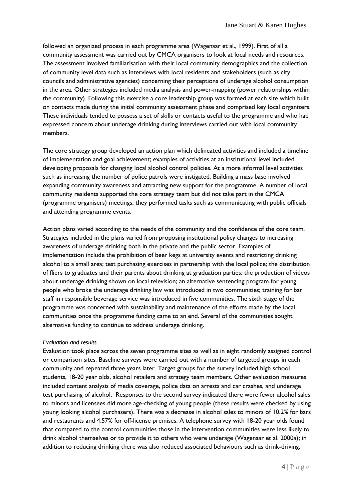followed an organized process in each programme area (Wagenaar et al., 1999). First of all a community assessment was carried out by CMCA organisers to look at local needs and resources. The assessment involved familiarisation with their local community demographics and the collection of community level data such as interviews with local residents and stakeholders (such as city councils and administrative agencies) concerning their perceptions of underage alcohol consumption in the area. Other strategies included media analysis and power-mapping (power relationships within the community). Following this exercise a core leadership group was formed at each site which built on contacts made during the initial community assessment phase and comprised key local organizers. These individuals tended to possess a set of skills or contacts useful to the programme and who had expressed concern about underage drinking during interviews carried out with local community members.

The core strategy group developed an action plan which delineated activities and included a timeline of implementation and goal achievement; examples of activities at an institutional level included developing proposals for changing local alcohol control policies. At a more informal level activities such as increasing the number of police patrols were instigated. Building a mass base involved expanding community awareness and attracting new support for the programme. A number of local community residents supported the core strategy team but did not take part in the CMCA (programme organisers) meetings; they performed tasks such as communicating with public officials and attending programme events.

Action plans varied according to the needs of the community and the confidence of the core team. Strategies included in the plans varied from proposing institutional policy changes to increasing awareness of underage drinking both in the private and the public sector. Examples of implementation include the prohibition of beer kegs at university events and restricting drinking alcohol to a small area; test purchasing exercises in partnership with the local police; the distribution of fliers to graduates and their parents about drinking at graduation parties; the production of videos about underage drinking shown on local television; an alternative sentencing program for young people who broke the underage drinking law was introduced in two communities; training for bar staff in responsible beverage service was introduced in five communities. The sixth stage of the programme was concerned with sustainability and maintenance of the efforts made by the local communities once the programme funding came to an end. Several of the communities sought alternative funding to continue to address underage drinking.

### *Evaluation and results*

Evaluation took place across the seven programme sites as well as in eight randomly assigned control or comparison sites. Baseline surveys were carried out with a number of targeted groups in each community and repeated three years later. Target groups for the survey included high school students, 18-20 year olds, alcohol retailers and strategy team members. Other evaluation measures included content analysis of media coverage, police data on arrests and car crashes, and underage test purchasing of alcohol. Responses to the second survey indicated there were fewer alcohol sales to minors and licensees did more age-checking of young people (these results were checked by using young looking alcohol purchasers). There was a decrease in alcohol sales to minors of 10.2% for bars and restaurants and 4.57% for off-license premises. A telephone survey with 18-20 year olds found that compared to the control communities those in the intervention communities were less likely to drink alcohol themselves or to provide it to others who were underage (Wagenaar et al. 2000a); in addition to reducing drinking there was also reduced associated behaviours such as drink-driving,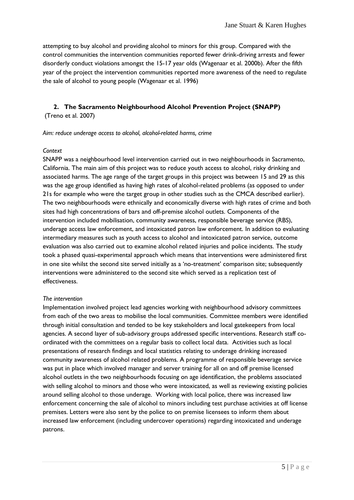attempting to buy alcohol and providing alcohol to minors for this group. Compared with the control communities the intervention communities reported fewer drink-driving arrests and fewer disorderly conduct violations amongst the 15-17 year olds (Wagenaar et al. 2000b). After the fifth year of the project the intervention communities reported more awareness of the need to regulate the sale of alcohol to young people (Wagenaar et al. 1996)

## **2. The Sacramento Neighbourhood Alcohol Prevention Project (SNAPP)**

(Treno et al. 2007)

### *Aim: reduce underage access to alcohol, alcohol-related harms, crime*

### *Context*

SNAPP was a neighbourhood level intervention carried out in two neighbourhoods in Sacramento, California. The main aim of this project was to reduce youth access to alcohol, risky drinking and associated harms. The age range of the target groups in this project was between 15 and 29 as this was the age group identified as having high rates of alcohol-related problems (as opposed to under 21s for example who were the target group in other studies such as the CMCA described earlier). The two neighbourhoods were ethnically and economically diverse with high rates of crime and both sites had high concentrations of bars and off-premise alcohol outlets. Components of the intervention included mobilisation, community awareness, responsible beverage service (RBS), underage access law enforcement, and intoxicated patron law enforcement. In addition to evaluating intermediary measures such as youth access to alcohol and intoxicated patron service, outcome evaluation was also carried out to examine alcohol related injuries and police incidents. The study took a phased quasi-experimental approach which means that interventions were administered first in one site whilst the second site served initially as a 'no-treatment' comparison site; subsequently interventions were administered to the second site which served as a replication test of effectiveness.

### *The intervention*

Implementation involved project lead agencies working with neighbourhood advisory committees from each of the two areas to mobilise the local communities. Committee members were identified through initial consultation and tended to be key stakeholders and local gatekeepers from local agencies. A second layer of sub-advisory groups addressed specific interventions. Research staff coordinated with the committees on a regular basis to collect local data. Activities such as local presentations of research findings and local statistics relating to underage drinking increased community awareness of alcohol related problems. A programme of responsible beverage service was put in place which involved manager and server training for all on and off premise licensed alcohol outlets in the two neighbourhoods focusing on age identification, the problems associated with selling alcohol to minors and those who were intoxicated, as well as reviewing existing policies around selling alcohol to those underage. Working with local police, there was increased law enforcement concerning the sale of alcohol to minors including test purchase activities at off license premises. Letters were also sent by the police to on premise licensees to inform them about increased law enforcement (including undercover operations) regarding intoxicated and underage patrons.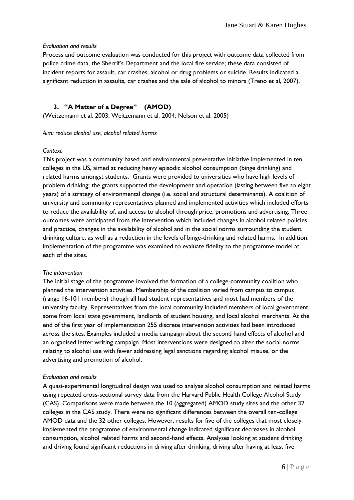### *Evaluation and results*

Process and outcome evaluation was conducted for this project with outcome data collected from police crime data, the Sherrif's Department and the local fire service; these data consisted of incident reports for assault, car crashes, alcohol or drug problems or suicide. Results indicated a significant reduction in assaults, car crashes and the sale of alcohol to minors (Treno et al, 2007).

### **3. "A Matter of a Degree" (AMOD)**

(Weitzemann et al. 2003; Weitzemann et al. 2004; Nelson et al. 2005)

#### *Aim: reduce alcohol use, alcohol related harms*

### *Context*

This project was a community based and environmental preventative initiative implemented in ten colleges in the US, aimed at reducing heavy episodic alcohol consumption (binge drinking) and related harms amongst students. Grants were provided to universities who have high levels of problem drinking; the grants supported the development and operation (lasting between five to eight years) of a strategy of environmental change (i.e. social and structural determinants). A coalition of university and community representatives planned and implemented activities which included efforts to reduce the availability of, and access to alcohol through price, promotions and advertising. Three outcomes were anticipated from the intervention which included changes in alcohol related policies and practice, changes in the availability of alcohol and in the social norms surrounding the student drinking culture, as well as a reduction in the levels of binge-drinking and related harms. In addition, implementation of the programme was examined to evaluate fidelity to the programme model at each of the sites.

### *The intervention*

The initial stage of the programme involved the formation of a college-community coalition who planned the intervention activities. Membership of the coalition varied from campus to campus (range 16-101 members) though all had student representatives and most had members of the university faculty. Representatives from the local community included members of local government, some from local state government, landlords of student housing, and local alcohol merchants. At the end of the first year of implementation 255 discrete intervention activities had been introduced across the sites. Examples included a media campaign about the second hand effects of alcohol and an organised letter writing campaign. Most interventions were designed to alter the social norms relating to alcohol use with fewer addressing legal sanctions regarding alcohol misuse, or the advertising and promotion of alcohol.

### *Evaluation and results*

A quasi-experimental longitudinal design was used to analyse alcohol consumption and related harms using repeated cross-sectional survey data from the Harvard Public Health College Alcohol Study (CAS). Comparisons were made between the 10 (aggregated) AMOD study sites and the other 32 colleges in the CAS study. There were no significant differences between the overall ten-college AMOD data and the 32 other colleges. However, results for five of the colleges that most closely implemented the programme of environmental change indicated significant decreases in alcohol consumption, alcohol related harms and second-hand effects. Analyses looking at student drinking and driving found significant reductions in driving after drinking, driving after having at least five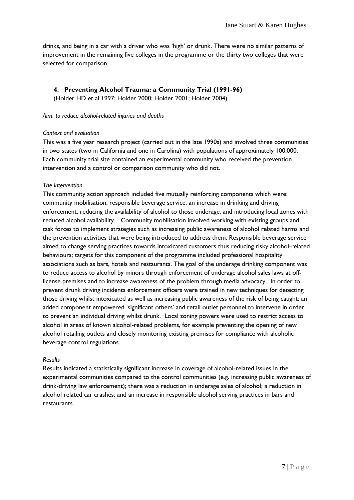drinks, and being in a car with a driver who was "high" or drunk. There were no similar patterns of improvement in the remaining five colleges in the programme or the thirty two colleges that were selected for comparison.

### **4. Preventing Alcohol Trauma: a Community Trial (1991-96)**

(Holder HD et al 1997; Holder 2000; Holder 2001; Holder 2004)

#### *Aim*: *to reduce alcohol-related injuries and deaths*

#### *Context and evaluation*

This was a five year research project (carried out in the late 1990s) and involved three communities in two states (two in California and one in Carolina) with populations of approximately 100,000. Each community trial site contained an experimental community who received the prevention intervention and a control or comparison community who did not.

### *The intervention*

This community action approach included five mutually reinforcing components which were: community mobilisation, responsible beverage service, an increase in drinking and driving enforcement, reducing the availability of alcohol to those underage, and introducing local zones with reduced alcohol availability. Community mobilisation involved working with existing groups and task forces to implement strategies such as increasing public awareness of alcohol related harms and the prevention activities that were being introduced to address them. Responsible beverage service aimed to change serving practices towards intoxicated customers thus reducing risky alcohol-related behaviours; targets for this component of the programme included professional hospitality associations such as bars, hotels and restaurants. The goal of the underage drinking component was to reduce access to alcohol by minors through enforcement of underage alcohol sales laws at offlicense premises and to increase awareness of the problem through media advocacy. In order to prevent drunk driving incidents enforcement officers were trained in new techniques for detecting those driving whilst intoxicated as well as increasing public awareness of the risk of being caught; an added component empowered 'significant others' and retail outlet personnel to intervene in order to prevent an individual driving whilst drunk. Local zoning powers were used to restrict access to alcohol in areas of known alcohol-related problems, for example preventing the opening of new alcohol retailing outlets and closely monitoring existing premises for compliance with alcoholic beverage control regulations.

#### *Results*

Results indicated a statistically significant increase in coverage of alcohol-related issues in the experimental communities compared to the control communities (e.g. increasing public awareness of drink-driving law enforcement); there was a reduction in underage sales of alcohol; a reduction in alcohol related car crashes; and an increase in responsible alcohol serving practices in bars and restaurants.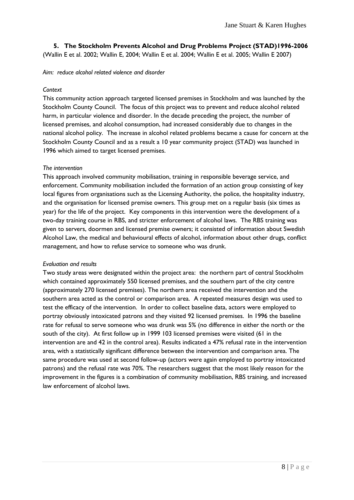**5. The Stockholm Prevents Alcohol and Drug Problems Project (STAD)1996-2006**

(Wallin E et al. 2002; Wallin E, 2004; Wallin E et al. 2004; Wallin E et al. 2005; Wallin E 2007)

*Aim: reduce alcohol related violence and disorder* 

### *Context*

This community action approach targeted licensed premises in Stockholm and was launched by the Stockholm County Council. The focus of this project was to prevent and reduce alcohol related harm, in particular violence and disorder. In the decade preceding the project, the number of licensed premises, and alcohol consumption, had increased considerably due to changes in the national alcohol policy. The increase in alcohol related problems became a cause for concern at the Stockholm County Council and as a result a 10 year community project (STAD) was launched in 1996 which aimed to target licensed premises.

### *The intervention*

This approach involved community mobilisation, training in responsible beverage service, and enforcement. Community mobilisation included the formation of an action group consisting of key local figures from organisations such as the Licensing Authority, the police, the hospitality industry, and the organisation for licensed premise owners. This group met on a regular basis (six times as year) for the life of the project. Key components in this intervention were the development of a two-day training course in RBS, and stricter enforcement of alcohol laws. The RBS training was given to servers, doormen and licensed premise owners; it consisted of information about Swedish Alcohol Law, the medical and behavioural effects of alcohol, information about other drugs, conflict management, and how to refuse service to someone who was drunk.

### *Evaluation and results*

Two study areas were designated within the project area: the northern part of central Stockholm which contained approximately 550 licensed premises, and the southern part of the city centre (approximately 270 licensed premises). The northern area received the intervention and the southern area acted as the control or comparison area. A repeated measures design was used to test the efficacy of the intervention. In order to collect baseline data, actors were employed to portray obviously intoxicated patrons and they visited 92 licensed premises. In 1996 the baseline rate for refusal to serve someone who was drunk was 5% (no difference in either the north or the south of the city). At first follow up in 1999 103 licensed premises were visited (61 in the intervention are and 42 in the control area). Results indicated a 47% refusal rate in the intervention area, with a statistically significant difference between the intervention and comparison area. The same procedure was used at second follow-up (actors were again employed to portray intoxicated patrons) and the refusal rate was 70%. The researchers suggest that the most likely reason for the improvement in the figures is a combination of community mobilisation, RBS training, and increased law enforcement of alcohol laws.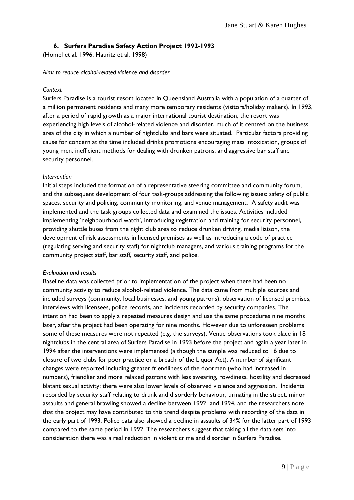### **6. Surfers Paradise Safety Action Project 1992-1993**

(Homel et al. 1996; Hauritz et al. 1998)

*Aim: to reduce alcohol-related violence and disorder*

### *Context*

Surfers Paradise is a tourist resort located in Queensland Australia with a population of a quarter of a million permanent residents and many more temporary residents (visitors/holiday makers). In 1993, after a period of rapid growth as a major international tourist destination, the resort was experiencing high levels of alcohol-related violence and disorder, much of it centred on the business area of the city in which a number of nightclubs and bars were situated. Particular factors providing cause for concern at the time included drinks promotions encouraging mass intoxication, groups of young men, inefficient methods for dealing with drunken patrons, and aggressive bar staff and security personnel.

### *Intervention*

Initial steps included the formation of a representative steering committee and community forum, and the subsequent development of four task-groups addressing the following issues: safety of public spaces, security and policing, community monitoring, and venue management. A safety audit was implemented and the task groups collected data and examined the issues. Activities included implementing "neighbourhood watch", introducing registration and training for security personnel, providing shuttle buses from the night club area to reduce drunken driving, media liaison, the development of risk assessments in licensed premises as well as introducing a code of practice (regulating serving and security staff) for nightclub managers, and various training programs for the community project staff, bar staff, security staff, and police.

### *Evaluation and results*

Baseline data was collected prior to implementation of the project when there had been no community activity to reduce alcohol-related violence. The data came from multiple sources and included surveys (community, local businesses, and young patrons), observation of licensed premises, interviews with licensees, police records, and incidents recorded by security companies. The intention had been to apply a repeated measures design and use the same procedures nine months later, after the project had been operating for nine months. However due to unforeseen problems some of these measures were not repeated (e.g. the surveys). Venue observations took place in 18 nightclubs in the central area of Surfers Paradise in 1993 before the project and again a year later in 1994 after the interventions were implemented (although the sample was reduced to 16 due to closure of two clubs for poor practice or a breach of the Liquor Act). A number of significant changes were reported including greater friendliness of the doormen (who had increased in numbers), friendlier and more relaxed patrons with less swearing, rowdiness, hostility and decreased blatant sexual activity; there were also lower levels of observed violence and aggression. Incidents recorded by security staff relating to drunk and disorderly behaviour, urinating in the street, minor assaults and general brawling showed a decline between 1992 and 1994, and the researchers note that the project may have contributed to this trend despite problems with recording of the data in the early part of 1993. Police data also showed a decline in assaults of 34% for the latter part of 1993 compared to the same period in 1992. The researchers suggest that taking all the data sets into consideration there was a real reduction in violent crime and disorder in Surfers Paradise.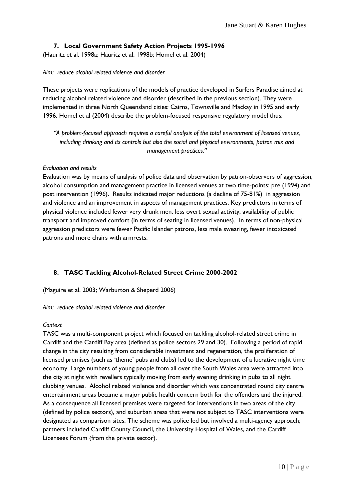### **7. Local Government Safety Action Projects 1995-1996**

(Hauritz et al. 1998a; Hauritz et al. 1998b; Homel et al. 2004)

### *Aim: reduce alcohol related violence and disorder*

These projects were replications of the models of practice developed in Surfers Paradise aimed at reducing alcohol related violence and disorder (described in the previous section). They were implemented in three North Queensland cities: Cairns, Townsville and Mackay in 1995 and early 1996. Homel et al (2004) describe the problem-focused responsive regulatory model thus:

*"A problem-focused approach requires a careful analysis of the total environment of licensed venues, including drinking and its controls but also the social and physical environments, patron mix and management practices."*

### *Evaluation and results*

Evaluation was by means of analysis of police data and observation by patron-observers of aggression, alcohol consumption and management practice in licensed venues at two time-points: pre (1994) and post intervention (1996). Results indicated major reductions (a decline of 75-81%) in aggression and violence and an improvement in aspects of management practices. Key predictors in terms of physical violence included fewer very drunk men, less overt sexual activity, availability of public transport and improved comfort (in terms of seating in licensed venues). In terms of non-physical aggression predictors were fewer Pacific Islander patrons, less male swearing, fewer intoxicated patrons and more chairs with armrests.

### **8. TASC Tackling Alcohol-Related Street Crime 2000-2002**

(Maguire et al. 2003; Warburton & Sheperd 2006)

### *Aim: reduce alcohol related violence and disorder*

### *Context*

TASC was a multi-component project which focused on tackling alcohol-related street crime in Cardiff and the Cardiff Bay area (defined as police sectors 29 and 30). Following a period of rapid change in the city resulting from considerable investment and regeneration, the proliferation of licensed premises (such as "theme" pubs and clubs) led to the development of a lucrative night time economy. Large numbers of young people from all over the South Wales area were attracted into the city at night with revellers typically moving from early evening drinking in pubs to all night clubbing venues. Alcohol related violence and disorder which was concentrated round city centre entertainment areas became a major public health concern both for the offenders and the injured. As a consequence all licensed premises were targeted for interventions in two areas of the city (defined by police sectors), and suburban areas that were not subject to TASC interventions were designated as comparison sites. The scheme was police led but involved a multi-agency approach; partners included Cardiff County Council, the University Hospital of Wales, and the Cardiff Licensees Forum (from the private sector).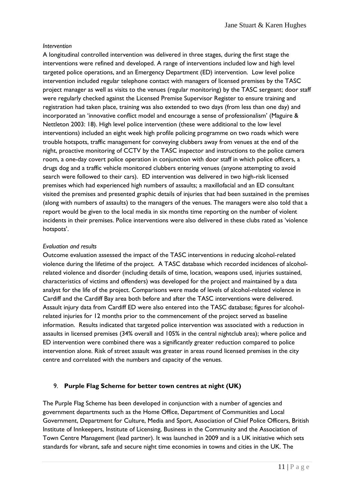### *Intervention*

A longitudinal controlled intervention was delivered in three stages, during the first stage the interventions were refined and developed. A range of interventions included low and high level targeted police operations, and an Emergency Department (ED) intervention. Low level police intervention included regular telephone contact with managers of licensed premises by the TASC project manager as well as visits to the venues (regular monitoring) by the TASC sergeant; door staff were regularly checked against the Licensed Premise Supervisor Register to ensure training and registration had taken place, training was also extended to two days (from less than one day) and incorporated an 'innovative conflict model and encourage a sense of professionalism' (Maguire & Nettleton 2003: 18). High level police intervention (these were additional to the low level interventions) included an eight week high profile policing programme on two roads which were trouble hotspots, traffic management for conveying clubbers away from venues at the end of the night, proactive monitoring of CCTV by the TASC inspector and instructions to the police camera room, a one-day covert police operation in conjunction with door staff in which police officers, a drugs dog and a traffic vehicle monitored clubbers entering venues (anyone attempting to avoid search were followed to their cars). ED intervention was delivered in two high-risk licensed premises which had experienced high numbers of assaults; a maxillofacial and an ED consultant visited the premises and presented graphic details of injuries that had been sustained in the premises (along with numbers of assaults) to the managers of the venues. The managers were also told that a report would be given to the local media in six months time reporting on the number of violent incidents in their premises. Police interventions were also delivered in these clubs rated as "violence hotspots'.

### *Evaluation and results*

Outcome evaluation assessed the impact of the TASC interventions in reducing alcohol-related violence during the lifetime of the project. A TASC database which recorded incidences of alcoholrelated violence and disorder (including details of time, location, weapons used, injuries sustained, characteristics of victims and offenders) was developed for the project and maintained by a data analyst for the life of the project. Comparisons were made of levels of alcohol-related violence in Cardiff and the Cardiff Bay area both before and after the TASC interventions were delivered. Assault injury data from Cardiff ED were also entered into the TASC database; figures for alcoholrelated injuries for 12 months prior to the commencement of the project served as baseline information. Results indicated that targeted police intervention was associated with a reduction in assaults in licensed premises (34% overall and 105% in the central nightclub area); where police and ED intervention were combined there was a significantly greater reduction compared to police intervention alone. Risk of street assault was greater in areas round licensed premises in the city centre and correlated with the numbers and capacity of the venues.

### 9. **Purple Flag Scheme for better town centres at night (UK)**

The Purple Flag Scheme has been developed in conjunction with a number of agencies and government departments such as the Home Office, Department of Communities and Local Government, Department for Culture, Media and Sport, Association of Chief Police Officers, British Institute of Innkeepers, Institute of Licensing, Business in the Community and the Association of Town Centre Management (lead partner). It was launched in 2009 and is a UK initiative which sets standards for vibrant, safe and secure night time economies in towns and cities in the UK. The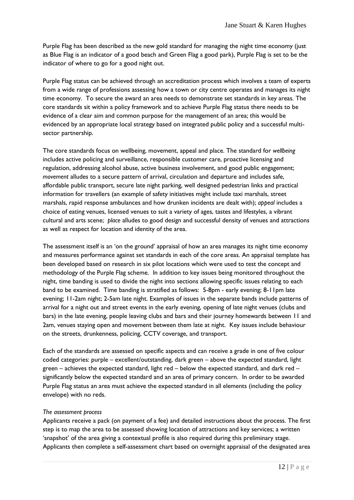Purple Flag has been described as the new gold standard for managing the night time economy (just as Blue Flag is an indicator of a good beach and Green Flag a good park), Purple Flag is set to be the indicator of where to go for a good night out.

Purple Flag status can be achieved through an accreditation process which involves a team of experts from a wide range of professions assessing how a town or city centre operates and manages its night time economy. To secure the award an area needs to demonstrate set standards in key areas. The core standards sit within a policy framework and to achieve Purple Flag status there needs to be evidence of a clear aim and common purpose for the management of an area; this would be evidenced by an appropriate local strategy based on integrated public policy and a successful multisector partnership.

The core standards focus on wellbeing, movement, appeal and place. The standard for *wellbeing* includes active policing and surveillance, responsible customer care, proactive licensing and regulation, addressing alcohol abuse, active business involvement, and good public engagement; *movement* alludes to a secure pattern of arrival, circulation and departure and includes safe, affordable public transport, secure late night parking, well designed pedestrian links and practical information for travellers (an example of safety initiatives might include taxi marshals, street marshals, rapid response ambulances and how drunken incidents are dealt with); *appeal* includes a choice of eating venues, licensed venues to suit a variety of ages, tastes and lifestyles, a vibrant cultural and arts scene; *place* alludes to good design and successful density of venues and attractions as well as respect for location and identity of the area.

The assessment itself is an "on the ground" appraisal of how an area manages its night time economy and measures performance against set standards in each of the core areas. An appraisal template has been developed based on research in six pilot locations which were used to test the concept and methodology of the Purple Flag scheme. In addition to key issues being monitored throughout the night, time banding is used to divide the night into sections allowing specific issues relating to each band to be examined. Time banding is stratified as follows: 5-8pm - early evening; 8-11pm late evening; 11-2am night; 2-5am late night. Examples of issues in the separate bands include patterns of arrival for a night out and street events in the early evening, opening of late night venues (clubs and bars) in the late evening, people leaving clubs and bars and their journey homewards between 11 and 2am, venues staying open and movement between them late at night. Key issues include behaviour on the streets, drunkenness, policing, CCTV coverage, and transport.

Each of the standards are assessed on specific aspects and can receive a grade in one of five colour coded categories: purple – excellent/outstanding, dark green – above the expected standard, light green – achieves the expected standard, light red – below the expected standard, and dark red – significantly below the expected standard and an area of primary concern. In order to be awarded Purple Flag status an area must achieve the expected standard in all elements (including the policy envelope) with no reds.

### *The assessment process*

Applicants receive a pack (on payment of a fee) and detailed instructions about the process. The first step is to map the area to be assessed showing location of attractions and key services; a written 'snapshot' of the area giving a contextual profile is also required during this preliminary stage. Applicants then complete a self-assessment chart based on overnight appraisal of the designated area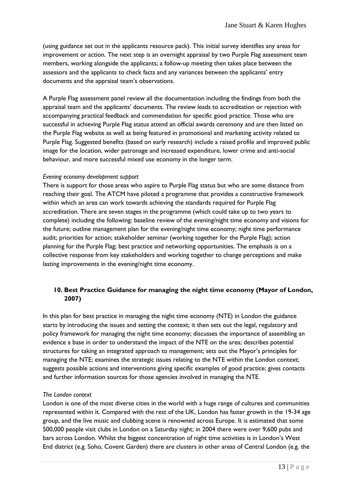(using guidance set out in the applicants resource pack). This initial survey identifies any areas for improvement or action. The next step is an overnight appraisal by two Purple Flag assessment team members, working alongside the applicants; a follow-up meeting then takes place between the assessors and the applicants to check facts and any variances between the applicants' entry documents and the appraisal team"s observations.

A Purple Flag assessment panel review all the documentation including the findings from both the appraisal team and the applicants' documents. The review leads to accreditation or rejection with accompanying practical feedback and commendation for specific good practice. Those who are successful in achieving Purple Flag status attend an official awards ceremony and are then listed on the Purple Flag website as well as being featured in promotional and marketing activity related to Purple Flag. Suggested benefits (based on early research) include a raised profile and improved public image for the location, wider patronage and increased expenditure, lower crime and anti-social behaviour, and more successful mixed use economy in the longer term.

#### *Evening economy development support*

There is support for those areas who aspire to Purple Flag status but who are some distance from reaching their goal. The ATCM have piloted a programme that provides a constructive framework within which an area can work towards achieving the standards required for Purple Flag accreditation. There are seven stages in the programme (which could take up to two years to complete) including the following: baseline review of the evening/night time economy and visions for the future; outline management plan for the evening/night time economy; night time performance audit; priorities for action; stakeholder seminar (working together for the Purple Flag); action planning for the Purple Flag; best practice and networking opportunities. The emphasis is on a collective response from key stakeholders and working together to change perceptions and make lasting improvements in the evening/night time economy.

### **10. Best Practice Guidance for managing the night time economy (Mayor of London, 2007)**

In this plan for best practice in managing the night time economy (NTE) in London the guidance starts by introducing the issues and setting the context; it then sets out the legal, regulatory and policy framework for managing the night time economy; discusses the importance of assembling an evidence a base in order to understand the impact of the NTE on the area; describes potential structures for taking an integrated approach to management; sets out the Mayor"s principles for managing the NTE; examines the strategic issues relating to the NTE within the London context; suggests possible actions and interventions giving specific examples of good practice; gives contacts and further information sources for those agencies involved in managing the NTE.

#### *The London context*

London is one of the most diverse cities in the world with a huge range of cultures and communities represented within it. Compared with the rest of the UK, London has faster growth in the 19-34 age group, and the live music and clubbing scene is renowned across Europe. It is estimated that some 500,000 people visit clubs in London on a Saturday night; in 2004 there were over 9,600 pubs and bars across London. Whilst the biggest concentration of night time activities is in London"s West End district (e.g. Soho, Covent Garden) there are clusters in other areas of Central London (e.g. the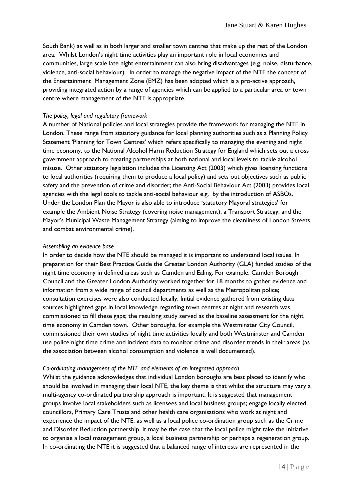South Bank) as well as in both larger and smaller town centres that make up the rest of the London area. Whilst London"s night time activities play an important role in local economies and communities, large scale late night entertainment can also bring disadvantages (e.g. noise, disturbance, violence, anti-social behaviour). In order to manage the negative impact of the NTE the concept of the Entertainment Management Zone (EMZ) has been adopted which is a pro-active approach, providing integrated action by a range of agencies which can be applied to a particular area or town centre where management of the NTE is appropriate.

#### *The policy, legal and regulatory framework*

A number of National policies and local strategies provide the framework for managing the NTE in London. These range from statutory guidance for local planning authorities such as a Planning Policy Statement 'Planning for Town Centres' which refers specifically to managing the evening and night time economy, to the National Alcohol Harm Reduction Strategy for England which sets out a cross government approach to creating partnerships at both national and local levels to tackle alcohol misuse. Other statutory legislation includes the Licensing Act (2003) which gives licensing functions to local authorities (requiring them to produce a local policy) and sets out objectives such as public safety and the prevention of crime and disorder; the Anti-Social Behaviour Act (2003) provides local agencies with the legal tools to tackle anti-social behaviour e.g. by the introduction of ASBOs. Under the London Plan the Mayor is also able to introduce "statutory Mayoral strategies" for example the Ambient Noise Strategy (covering noise management), a Transport Strategy, and the Mayor"s Municipal Waste Management Strategy (aiming to improve the cleanliness of London Streets and combat environmental crime).

#### *Assembling an evidence base*

In order to decide how the NTE should be managed it is important to understand local issues. In preparation for their Best Practice Guide the Greater London Authority (GLA) funded studies of the night time economy in defined areas such as Camden and Ealing. For example, Camden Borough Council and the Greater London Authority worked together for 18 months to gather evidence and information from a wide range of council departments as well as the Metropolitan police; consultation exercises were also conducted locally. Initial evidence gathered from existing data sources highlighted gaps in local knowledge regarding town centres at night and research was commissioned to fill these gaps; the resulting study served as the baseline assessment for the night time economy in Camden town. Other boroughs, for example the Westminster City Council, commissioned their own studies of night time activities locally and both Westminster and Camden use police night time crime and incident data to monitor crime and disorder trends in their areas (as the association between alcohol consumption and violence is well documented).

#### *Co-ordinating management of the NTE and elements of an integrated approach*

Whilst the guidance acknowledges that individual London boroughs are best placed to identify who should be involved in managing their local NTE, the key theme is that whilst the structure may vary a multi-agency co-ordinated partnership approach is important. It is suggested that management groups involve local stakeholders such as licensees and local business groups; engage locally elected councillors, Primary Care Trusts and other health care organisations who work at night and experience the impact of the NTE, as well as a local police co-ordination group such as the Crime and Disorder Reduction partnership. It may be the case that the local police might take the initiative to organise a local management group, a local business partnership or perhaps a regeneration group. In co-ordinating the NTE it is suggested that a balanced range of interests are represented in the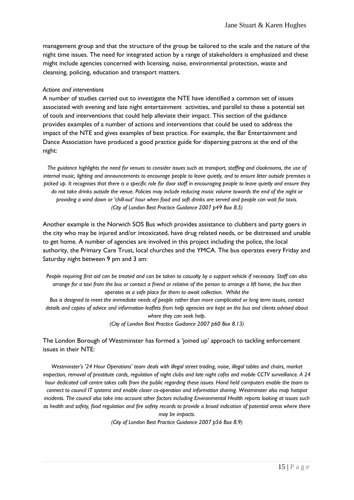management group and that the structure of the group be tailored to the scale and the nature of the night time issues. The need for integrated action by a range of stakeholders is emphasized and these might include agencies concerned with licensing, noise, environmental protection, waste and cleansing, policing, education and transport matters.

#### *Actions and interventions*

A number of studies carried out to investigate the NTE have identified a common set of issues associated with evening and late night entertainment activities, and parallel to these a potential set of tools and interventions that could help alleviate their impact. This section of the guidance provides examples of a number of actions and interventions that could be used to address the impact of the NTE and gives examples of best practice. For example, the Bar Entertainment and Dance Association have produced a good practice guide for dispersing patrons at the end of the night:

*The guidance highlights the need for venues to consider issues such as transport, staffing and cloakrooms, the use of internal music, lighting and announcements to encourage people to leave quietly, and to ensure litter outside premises is picked up. It recognises that there is a specific role for door staff in encouraging people to leave quietly and ensure they do not take drinks outside the venue. Policies may include reducing music volume towards the end of the night or providing a wind down or "chill-out" hour when food and soft drinks are served and people can wait for taxis. (City of London Best Practice Guidance 2007 p49 Box 8.5)*

Another example is the Norwich SOS Bus which provides assistance to clubbers and party goers in the city who may be injured and/or intoxicated, have drug related needs, or be distressed and unable to get home. A number of agencies are involved in this project including the police, the local authority, the Primary Care Trust, local churches and the YMCA. The bus operates every Friday and Saturday night between 9 pm and 3 am:

*People requiring first aid can be treated and can be taken to casualty by a support vehicle if necessary. Staff can also arrange for a taxi from the bus or contact a friend or relative of the person to arrange a lift home, the bus then operates as a safe place for them to await collection. Whilst the*

*Bus is designed to meet the immediate needs of people rather than more complicated or long term issues, contact details and copies of advice and information leaflets from help agencies are kept on the bus and clients advised about where they can seek help*.

*(City of London Best Practice Guidance 2007 p60 Box 8.13)*

The London Borough of Westminster has formed a "joined up" approach to tackling enforcement issues in their NTE:

*Westminster"s "24 Hour Operations" team deals with illegal street trading, noise, illegal tables and chairs, market inspection, removal of prostitute cards, regulation of night clubs and late night cafes and mobile CCTV surveillance. A 24 hour dedicated call centre takes calls from the public regarding these issues. Hand held computers enable the team to connect to council IT systems and enable closer co-operation and information sharing. Westminster also map hotspot incidents. The council also take into account other factors including Environmental Health reports looking at issues such as health and safety, food regulation and fire safety records to provide a broad indication of potential areas where there may be impacts.*

*(City of London Best Practice Guidance 2007 p56 Box 8.9)*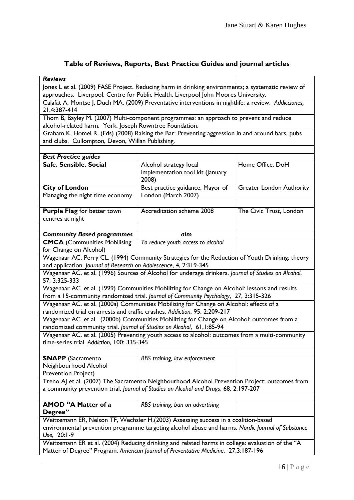## **Table of Reviews, Reports, Best Practice Guides and journal articles**

| <b>Reviews</b>                                                                                                       |                                                                                                |                                 |  |
|----------------------------------------------------------------------------------------------------------------------|------------------------------------------------------------------------------------------------|---------------------------------|--|
| Jones L et al. (2009) FASE Project. Reducing harm in drinking environments; a systematic review of                   |                                                                                                |                                 |  |
| approaches. Liverpool. Centre for Public Health. Liverpool John Moores University.                                   |                                                                                                |                                 |  |
| Calafat A, Montse J, Duch MA. (2009) Preventative interventions in nightlife: a review. Addicciones,                 |                                                                                                |                                 |  |
| 21,4:387-414                                                                                                         |                                                                                                |                                 |  |
| Thom B, Bayley M. (2007) Multi-component programmes: an approach to prevent and reduce                               |                                                                                                |                                 |  |
| alcohol-related harm. York. Joseph Rowntree Foundation.                                                              |                                                                                                |                                 |  |
| Graham K, Homel R. (Eds) (2008) Raising the Bar: Preventing aggression in and around bars, pubs                      |                                                                                                |                                 |  |
| and clubs. Cullompton, Devon, Willan Publishing.                                                                     |                                                                                                |                                 |  |
|                                                                                                                      |                                                                                                |                                 |  |
|                                                                                                                      |                                                                                                |                                 |  |
| <b>Best Practice guides</b><br>Safe. Sensible. Social                                                                |                                                                                                |                                 |  |
|                                                                                                                      | Alcohol strategy local                                                                         | Home Office, DoH                |  |
|                                                                                                                      | implementation tool kit (January                                                               |                                 |  |
|                                                                                                                      | 2008)                                                                                          |                                 |  |
| <b>City of London</b>                                                                                                | Best practice guidance, Mayor of                                                               | <b>Greater London Authority</b> |  |
| Managing the night time economy                                                                                      | London (March 2007)                                                                            |                                 |  |
|                                                                                                                      |                                                                                                |                                 |  |
| <b>Purple Flag for better town</b>                                                                                   | <b>Accreditation scheme 2008</b>                                                               | The Civic Trust, London         |  |
| centres at night                                                                                                     |                                                                                                |                                 |  |
|                                                                                                                      |                                                                                                |                                 |  |
| <b>Community Based programmes</b>                                                                                    | aim                                                                                            |                                 |  |
| <b>CMCA</b> (Communities Mobilising                                                                                  | To reduce youth access to alcohol                                                              |                                 |  |
| for Change on Alcohol)                                                                                               |                                                                                                |                                 |  |
|                                                                                                                      | Wagenaar AC, Perry CL. (1994) Community Strategies for the Reduction of Youth Drinking: theory |                                 |  |
| and application. Journal of Research on Adolescence, 4, 2:319-345                                                    |                                                                                                |                                 |  |
|                                                                                                                      |                                                                                                |                                 |  |
| Wagenaar AC. et al. (1996) Sources of Alcohol for underage drinkers. Journal of Studies on Alcohol,<br>57, 3:325-333 |                                                                                                |                                 |  |
| Wagenaar AC. et al. (1999) Communities Mobilizing for Change on Alcohol: lessons and results                         |                                                                                                |                                 |  |
|                                                                                                                      | from a 15-community randomized trial. Journal of Community Psychology, 27, 3:315-326           |                                 |  |
|                                                                                                                      | Wagenaar AC. et al. (2000a) Communities Mobilizing for Change on Alcohol: effects of a         |                                 |  |
| randomized trial on arrests and traffic crashes. Addiction, 95, 2:209-217                                            |                                                                                                |                                 |  |
|                                                                                                                      |                                                                                                |                                 |  |
| Wagenaar AC. et al. (2000b) Communities Mobilizing for Change on Alcohol: outcomes from a                            |                                                                                                |                                 |  |
| randomized community trial. Journal of Studies on Alcohol, 61,1:85-94                                                |                                                                                                |                                 |  |
| Wagenaar AC. et al. (2005) Preventing youth access to alcohol: outcomes from a multi-community                       |                                                                                                |                                 |  |
| time-series trial. Addiction, 100: 335-345                                                                           |                                                                                                |                                 |  |
|                                                                                                                      |                                                                                                |                                 |  |
| <b>SNAPP</b> (Sacramento                                                                                             | RBS training, law enforcement                                                                  |                                 |  |
| Neighbourhood Alcohol                                                                                                |                                                                                                |                                 |  |
| Prevention Project)                                                                                                  |                                                                                                |                                 |  |
| Treno AJ et al. (2007) The Sacramento Neighbourhood Alcohol Prevention Project: outcomes from                        |                                                                                                |                                 |  |
| a community prevention trial. Journal of Studies on Alcohol and Drugs, 68, 2:197-207                                 |                                                                                                |                                 |  |
|                                                                                                                      |                                                                                                |                                 |  |
| <b>AMOD "A Matter of a</b>                                                                                           | RBS training, ban on advertising                                                               |                                 |  |
| Degree"                                                                                                              |                                                                                                |                                 |  |
|                                                                                                                      | Weitzemann ER, Nelson TF, Wechsler H.(2003) Assessing success in a coalition-based             |                                 |  |
| environmental prevention programme targeting alcohol abuse and harms. Nordic Journal of Substance                    |                                                                                                |                                 |  |
| Use, 20:1-9                                                                                                          |                                                                                                |                                 |  |
| Weitzemann ER et al. (2004) Reducing drinking and related harms in college: evaluation of the "A                     |                                                                                                |                                 |  |
| Matter of Degree" Program. American Journal of Preventative Medicine, 27,3:187-196                                   |                                                                                                |                                 |  |
|                                                                                                                      |                                                                                                |                                 |  |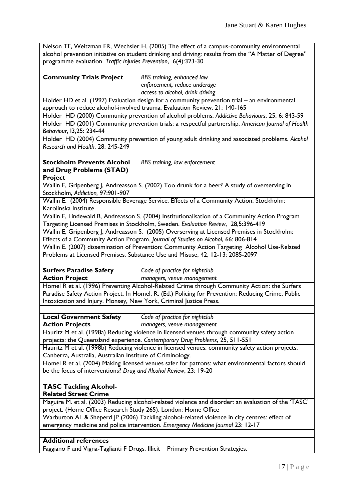Nelson TF, Weitzman ER, Wechsler H. (2005) The effect of a campus-community environmental alcohol prevention initiative on student drinking and driving: results from the "A Matter of Degree" programme evaluation. *Traffic Injuries Prevention*, 6(4):323-30

| <b>Community Trials Project</b>                                                                    | RBS training, enhanced law                                                                           |  |  |
|----------------------------------------------------------------------------------------------------|------------------------------------------------------------------------------------------------------|--|--|
|                                                                                                    | enforcement, reduce underage                                                                         |  |  |
|                                                                                                    | access to alcohol, drink driving                                                                     |  |  |
|                                                                                                    | Holder HD et al. (1997) Evaluation design for a community prevention trial - an environmental        |  |  |
| approach to reduce alcohol-involved trauma. Evaluation Review, 21: 140-165                         |                                                                                                      |  |  |
| Holder HD (2000) Community prevention of alcohol problems. Addictive Behaviours, 25, 6: 843-59     |                                                                                                      |  |  |
| Holder HD (2001) Community prevention trials: a respectful partnership. American Journal of Health |                                                                                                      |  |  |
| Behaviour, 13,25: 234-44                                                                           |                                                                                                      |  |  |
| Holder HD (2004) Community prevention of young adult drinking and associated problems. Alcohol     |                                                                                                      |  |  |
| Research and Health, 28: 245-249                                                                   |                                                                                                      |  |  |
|                                                                                                    |                                                                                                      |  |  |
| <b>Stockholm Prevents Alcohol</b>                                                                  | RBS training, law enforcement                                                                        |  |  |
| and Drug Problems (STAD)                                                                           |                                                                                                      |  |  |
| <b>Project</b>                                                                                     |                                                                                                      |  |  |
|                                                                                                    | Wallin E, Gripenberg J, Andreasson S. (2002) Too drunk for a beer? A study of overserving in         |  |  |
| Stockholm, Addiction, 97:901-907                                                                   |                                                                                                      |  |  |
| Wallin E. (2004) Responsible Beverage Service, Effects of a Community Action. Stockholm:           |                                                                                                      |  |  |
| Karolinska Institute.                                                                              |                                                                                                      |  |  |
| Wallin E, Lindewald B, Andreasson S. (2004) Institutionalisation of a Community Action Program     |                                                                                                      |  |  |
| Targeting Licensed Premises in Stockholm, Sweden. Evaluation Review, 28,5:396-419                  |                                                                                                      |  |  |
| Wallin E, Gripenberg J, Andreasson S. (2005) Overserving at Licensed Premises in Stockholm:        |                                                                                                      |  |  |
|                                                                                                    | Effects of a Community Action Program. Journal of Studies on Alcohol, 66: 806-814                    |  |  |
|                                                                                                    | Wallin E. (2007) dissemination of Prevention: Community Action Targeting Alcohol Use-Related         |  |  |
|                                                                                                    | Problems at Licensed Premises. Substance Use and Misuse, 42, 12-13: 2085-2097                        |  |  |
|                                                                                                    |                                                                                                      |  |  |
| <b>Surfers Paradise Safety</b>                                                                     | Code of practice for nightclub                                                                       |  |  |
| <b>Action Project</b>                                                                              | managers, venue management                                                                           |  |  |
|                                                                                                    | Homel R et al. (1996) Preventing Alcohol-Related Crime through Community Action: the Surfers         |  |  |
|                                                                                                    | Paradise Safety Action Project. In Homel, R. (Ed.) Policing for Prevention: Reducing Crime, Public   |  |  |
| Intoxication and Injury. Monsey, New York, Criminal Justice Press.                                 |                                                                                                      |  |  |
|                                                                                                    |                                                                                                      |  |  |
| <b>Local Government Safety</b>                                                                     | Code of practice for nightclub                                                                       |  |  |
| <b>Action Projects</b>                                                                             | managers, venue management                                                                           |  |  |
| Hauritz M et al. (1998a) Reducing violence in licensed venues through community safety action      |                                                                                                      |  |  |
| projects: the Queensland experience. Contemporary Drug Problems, 25, 511-551                       |                                                                                                      |  |  |
| Hauritz M et al. (1998b) Reducing violence in licensed venues: community safety action projects.   |                                                                                                      |  |  |
| Canberra, Australia, Australian Institute of Criminology.                                          |                                                                                                      |  |  |
| Homel R et al. (2004) Making licensed venues safer for patrons: what environmental factors should  |                                                                                                      |  |  |
|                                                                                                    |                                                                                                      |  |  |
|                                                                                                    | be the focus of interventions? Drug and Alcohol Review, 23: 19-20                                    |  |  |
|                                                                                                    |                                                                                                      |  |  |
| <b>TASC Tackling Alcohol-</b>                                                                      |                                                                                                      |  |  |
| <b>Related Street Crime</b>                                                                        |                                                                                                      |  |  |
|                                                                                                    | Maguire M. et al. (2003) Reducing alcohol-related violence and disorder: an evaluation of the 'TASC' |  |  |
| project. (Home Office Research Study 265). London: Home Office                                     |                                                                                                      |  |  |
|                                                                                                    | Warburton AL & Sheperd JP (2006) Tackling alcohol-related violence in city centres: effect of        |  |  |
|                                                                                                    | emergency medicine and police intervention. Emergency Medicine Journal 23: 12-17                     |  |  |
|                                                                                                    |                                                                                                      |  |  |
| <b>Additional references</b>                                                                       | Faggiano F and Vigna-Taglianti F Drugs, Illicit - Primary Prevention Strategies.                     |  |  |